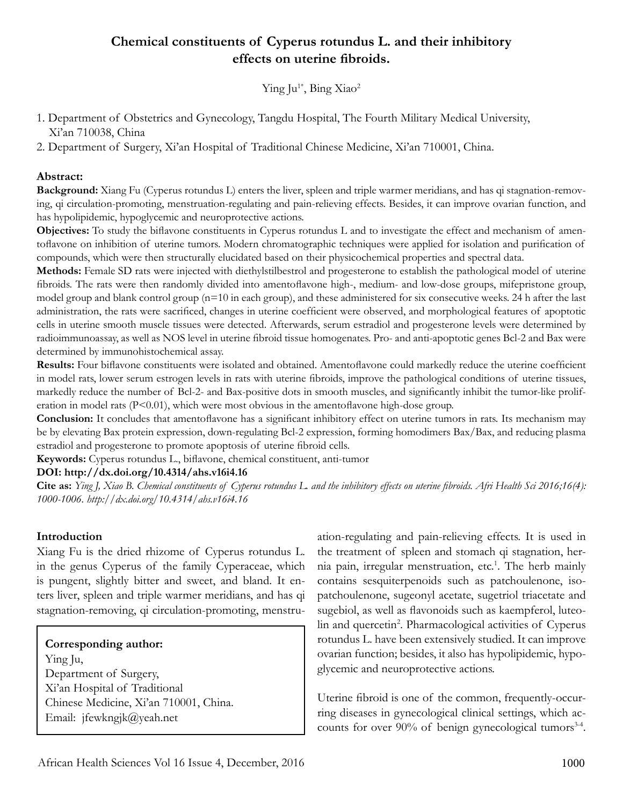# **Chemical constituents of Cyperus rotundus L. and their inhibitory effects on uterine fibroids.**

Ying Ju<sup>1\*</sup>, Bing Xiao<sup>2</sup>

- 1. Department of Obstetrics and Gynecology, Tangdu Hospital, The Fourth Military Medical University, Xi'an 710038, China
- 2. Department of Surgery, Xi'an Hospital of Traditional Chinese Medicine, Xi'an 710001, China.

### **Abstract:**

**Background:** Xiang Fu (Cyperus rotundus L) enters the liver, spleen and triple warmer meridians, and has qi stagnation-removing, qi circulation-promoting, menstruation-regulating and pain-relieving effects. Besides, it can improve ovarian function, and has hypolipidemic, hypoglycemic and neuroprotective actions.

**Objectives:** To study the biflavone constituents in Cyperus rotundus L and to investigate the effect and mechanism of amentoflavone on inhibition of uterine tumors. Modern chromatographic techniques were applied for isolation and purification of compounds, which were then structurally elucidated based on their physicochemical properties and spectral data.

**Methods:** Female SD rats were injected with diethylstilbestrol and progesterone to establish the pathological model of uterine fibroids. The rats were then randomly divided into amentoflavone high-, medium- and low-dose groups, mifepristone group, model group and blank control group (n=10 in each group), and these administered for six consecutive weeks. 24 h after the last administration, the rats were sacrificed, changes in uterine coefficient were observed, and morphological features of apoptotic cells in uterine smooth muscle tissues were detected. Afterwards, serum estradiol and progesterone levels were determined by radioimmunoassay, as well as NOS level in uterine fibroid tissue homogenates. Pro- and anti-apoptotic genes Bcl-2 and Bax were determined by immunohistochemical assay.

**Results:** Four biflavone constituents were isolated and obtained. Amentoflavone could markedly reduce the uterine coefficient in model rats, lower serum estrogen levels in rats with uterine fibroids, improve the pathological conditions of uterine tissues, markedly reduce the number of Bcl-2- and Bax-positive dots in smooth muscles, and significantly inhibit the tumor-like proliferation in model rats  $(P<0.01)$ , which were most obvious in the amentoflavone high-dose group.

**Conclusion:** It concludes that amentoflavone has a significant inhibitory effect on uterine tumors in rats. Its mechanism may be by elevating Bax protein expression, down-regulating Bcl-2 expression, forming homodimers Bax/Bax, and reducing plasma estradiol and progesterone to promote apoptosis of uterine fibroid cells.

**Keywords:** Cyperus rotundus L., biflavone, chemical constituent, anti-tumor

### **DOI: http://dx.doi.org/10.4314/ahs.v16i4.16**

**Cite as:** *Ying J, Xiao B. Chemical constituents of Cyperus rotundus L. and the inhibitory effects on uterine fibroids. Afri Health Sci 2016;16(4): 1000-1006. http://dx.doi.org/10.4314/ahs.v16i4.16*

## **Introduction**

Xiang Fu is the dried rhizome of Cyperus rotundus L. in the genus Cyperus of the family Cyperaceae, which is pungent, slightly bitter and sweet, and bland. It enters liver, spleen and triple warmer meridians, and has qi stagnation-removing, qi circulation-promoting, menstru-

**Corresponding author:** Ying Ju, Department of Surgery, Xi'an Hospital of Traditional Chinese Medicine, Xi'an 710001, China. Email: jfewkngjk@yeah.net

ation-regulating and pain-relieving effects. It is used in the treatment of spleen and stomach qi stagnation, hernia pain, irregular menstruation, etc.<sup>1</sup>. The herb mainly contains sesquiterpenoids such as patchoulenone, isopatchoulenone, sugeonyl acetate, sugetriol triacetate and sugebiol, as well as flavonoids such as kaempferol, luteolin and quercetin<sup>2</sup>. Pharmacological activities of Cyperus rotundus L. have been extensively studied. It can improve ovarian function; besides, it also has hypolipidemic, hypoglycemic and neuroprotective actions.

Uterine fibroid is one of the common, frequently-occurring diseases in gynecological clinical settings, which accounts for over 90% of benign gynecological tumors<sup>34</sup>.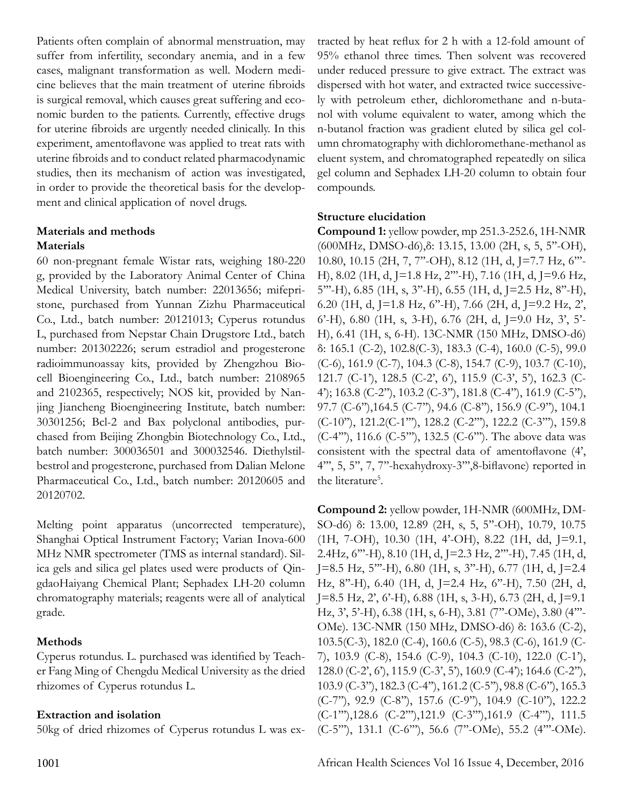Patients often complain of abnormal menstruation, may suffer from infertility, secondary anemia, and in a few cases, malignant transformation as well. Modern medicine believes that the main treatment of uterine fibroids is surgical removal, which causes great suffering and economic burden to the patients. Currently, effective drugs for uterine fibroids are urgently needed clinically. In this experiment, amentoflavone was applied to treat rats with uterine fibroids and to conduct related pharmacodynamic studies, then its mechanism of action was investigated, in order to provide the theoretical basis for the development and clinical application of novel drugs.

### **Materials and methods Materials**

60 non-pregnant female Wistar rats, weighing 180-220 g, provided by the Laboratory Animal Center of China Medical University, batch number: 22013656; mifepristone, purchased from Yunnan Zizhu Pharmaceutical Co., Ltd., batch number: 20121013; Cyperus rotundus L, purchased from Nepstar Chain Drugstore Ltd., batch number: 201302226; serum estradiol and progesterone radioimmunoassay kits, provided by Zhengzhou Biocell Bioengineering Co., Ltd., batch number: 2108965 and 2102365, respectively; NOS kit, provided by Nanjing Jiancheng Bioengineering Institute, batch number: 30301256; Bcl-2 and Bax polyclonal antibodies, purchased from Beijing Zhongbin Biotechnology Co., Ltd., batch number: 300036501 and 300032546. Diethylstilbestrol and progesterone, purchased from Dalian Melone Pharmaceutical Co., Ltd., batch number: 20120605 and 20120702.

Melting point apparatus (uncorrected temperature), Shanghai Optical Instrument Factory; Varian Inova-600 MHz NMR spectrometer (TMS as internal standard). Silica gels and silica gel plates used were products of QingdaoHaiyang Chemical Plant; Sephadex LH-20 column chromatography materials; reagents were all of analytical grade.

## **Methods**

Cyperus rotundus. L. purchased was identified by Teacher Fang Ming of Chengdu Medical University as the dried rhizomes of Cyperus rotundus L.

## **Extraction and isolation**

50kg of dried rhizomes of Cyperus rotundus L was ex-

tracted by heat reflux for 2 h with a 12-fold amount of 95% ethanol three times. Then solvent was recovered under reduced pressure to give extract. The extract was dispersed with hot water, and extracted twice successively with petroleum ether, dichloromethane and n-butanol with volume equivalent to water, among which the n-butanol fraction was gradient eluted by silica gel column chromatography with dichloromethane-methanol as eluent system, and chromatographed repeatedly on silica gel column and Sephadex LH-20 column to obtain four compounds.

### **Structure elucidation**

**Compound 1:** yellow powder, mp 251.3-252.6, 1H-NMR (600MHz, DMSO-d6),δ: 13.15, 13.00 (2H, s, 5, 5''-OH), 10.80, 10.15 (2H, 7, 7''-OH), 8.12 (1H, d, J=7.7 Hz, 6'''- H), 8.02 (1H, d, J=1.8 Hz, 2'''-H), 7.16 (1H, d, J=9.6 Hz, 5'''-H), 6.85 (1H, s, 3''-H), 6.55 (1H, d, J=2.5 Hz, 8''-H), 6.20 (1H, d, J=1.8 Hz, 6''-H), 7.66 (2H, d, J=9.2 Hz, 2',  $6'$ -H),  $6.80$  (1H, s, 3-H),  $6.76$  (2H, d, J=9.0 Hz, 3', 5'-H), 6.41 (1H, s, 6-H). 13C-NMR (150 MHz, DMSO-d6) δ: 165.1 (C-2), 102.8(C-3), 183.3 (C-4), 160.0 (C-5), 99.0 (C-6), 161.9 (C-7), 104.3 (C-8), 154.7 (C-9), 103.7 (C-10), 121.7 (C-1'), 128.5 (C-2', 6'), 115.9 (C-3', 5'), 162.3 (C-4'); 163.8 (C-2''), 103.2 (C-3''), 181.8 (C-4''), 161.9 (C-5''), 97.7 (C-6"), 164.5 (C-7"), 94.6 (C-8"), 156.9 (C-9"), 104.1 (C-10''), 121.2(C-1'''), 128.2 (C-2'''), 122.2 (C-3'''), 159.8 (C-4'''), 116.6 (C-5'''), 132.5 (C-6'''). The above data was consistent with the spectral data of amentoflavone (4', 4''', 5, 5'', 7, 7''-hexahydroxy-3''',8-biflavone) reported in the literature<sup>5</sup>.

**Compound 2:** yellow powder, 1H-NMR (600MHz, DM-SO-d6) δ: 13.00, 12.89 (2H, s, 5, 5"-OH), 10.79, 10.75 (1H, 7-OH), 10.30 (1H, 4'-OH), 8.22 (1H, dd, J=9.1, 2.4Hz, 6'''-H), 8.10 (1H, d, J=2.3 Hz, 2'''-H), 7.45 (1H, d, J=8.5 Hz, 5'''-H), 6.80 (1H, s, 3''-H), 6.77 (1H, d, J=2.4 Hz, 8''-H), 6.40 (1H, d, J=2.4 Hz, 6''-H), 7.50 (2H, d, J=8.5 Hz, 2', 6'-H), 6.88 (1H, s, 3-H), 6.73 (2H, d, J=9.1 Hz, 3', 5'-H), 6.38 (1H, s, 6-H), 3.81 (7''-OMe), 3.80 (4'''- OMe). 13C-NMR (150 MHz, DMSO-d6) δ: 163.6 (C-2), 103.5(C-3), 182.0 (C-4), 160.6 (C-5), 98.3 (C-6), 161.9 (C-7), 103.9 (C-8), 154.6 (C-9), 104.3 (C-10), 122.0 (C-1'), 128.0 (C-2', 6'), 115.9 (C-3', 5'), 160.9 (C-4'); 164.6 (C-2''), 103.9 (C-3''), 182.3 (C-4''), 161.2 (C-5''), 98.8 (C-6''), 165.3 (C-7''), 92.9 (C-8''), 157.6 (C-9''), 104.9 (C-10''), 122.2 (C-1'''),128.6 (C-2'''),121.9 (C-3'''),161.9 (C-4'''), 111.5 (C-5'''), 131.1 (C-6'''), 56.6 (7''-OMe), 55.2 (4'''-OMe).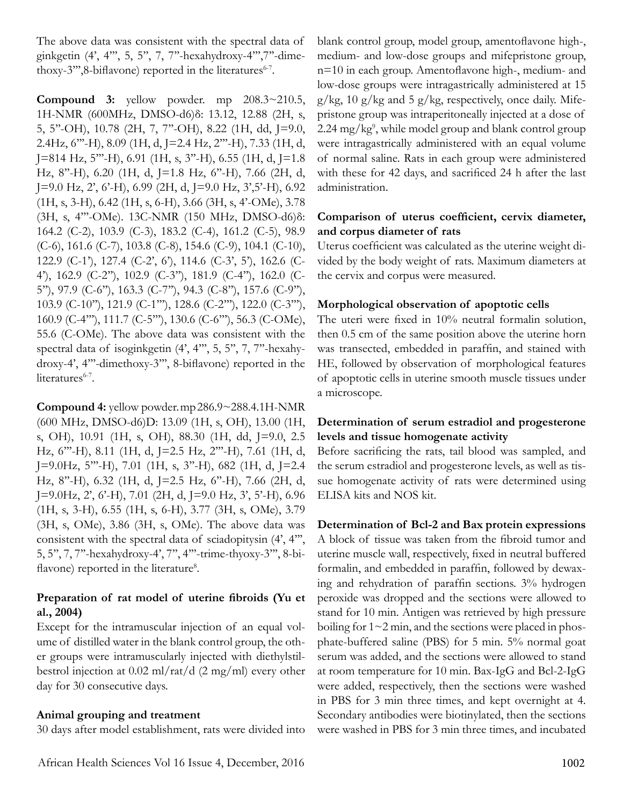The above data was consistent with the spectral data of ginkgetin (4', 4''', 5, 5'', 7, 7''-hexahydroxy-4''',7''-dimethoxy-3"',8-biflavone) reported in the literatures<sup>6-7</sup>.

**Compound 3:** yellow powder. mp 208.3~210.5, 1H-NMR (600MHz, DMSO-d6)δ: 13.12, 12.88 (2H, s, 5, 5''-OH), 10.78 (2H, 7, 7''-OH), 8.22 (1H, dd, J=9.0, 2.4Hz, 6'''-H), 8.09 (1H, d, J=2.4 Hz, 2'''-H), 7.33 (1H, d,  $[J=814 \text{ Hz}, 5$ "'-H), 6.91 (1H, s, 3"-H), 6.55 (1H, d, J=1.8) Hz, 8''-H), 6.20 (1H, d, J=1.8 Hz, 6''-H), 7.66 (2H, d, J=9.0 Hz, 2', 6'-H), 6.99 (2H, d, J=9.0 Hz, 3',5'-H), 6.92 (1H, s, 3-H), 6.42 (1H, s, 6-H), 3.66 (3H, s, 4'-OMe), 3.78 (3H, s, 4'''-OMe). 13C-NMR (150 MHz, DMSO-d6)δ: 164.2 (C-2), 103.9 (C-3), 183.2 (C-4), 161.2 (C-5), 98.9 (C-6), 161.6 (C-7), 103.8 (C-8), 154.6 (C-9), 104.1 (C-10), 122.9 (C-1'), 127.4 (C-2', 6'), 114.6 (C-3', 5'), 162.6 (C-4'), 162.9 (C-2''), 102.9 (C-3''), 181.9 (C-4''), 162.0 (C-5''), 97.9 (C-6''), 163.3 (C-7''), 94.3 (C-8''), 157.6 (C-9''), 103.9 (C-10''), 121.9 (C-1'''), 128.6 (C-2'''), 122.0 (C-3'''), 160.9 (C-4'''), 111.7 (C-5'''), 130.6 (C-6'''), 56.3 (C-OMe), 55.6 (C-OMe). The above data was consistent with the spectral data of isoginkgetin (4', 4''', 5, 5'', 7, 7''-hexahydroxy-4', 4'''-dimethoxy-3''', 8-biflavone) reported in the literatures<sup>6-7</sup>.

**Compound 4:** yellow powder. mp 286.9~288.4.1H-NMR (600 MHz, DMSO-d6)D: 13.09 (1H, s, OH), 13.00 (1H, s, OH), 10.91 (1H, s, OH), 88.30 (1H, dd, J=9.0, 2.5 Hz, 6'''-H), 8.11 (1H, d, J=2.5 Hz, 2'''-H), 7.61 (1H, d,  $[J=9.0Hz, 5''' - H], 7.01 (1H, s, 3'' - H), 682 (1H, d, J=2.4)$ Hz, 8''-H), 6.32 (1H, d, J=2.5 Hz, 6''-H), 7.66 (2H, d, J=9.0Hz, 2', 6'-H), 7.01 (2H, d, J=9.0 Hz, 3', 5'-H), 6.96 (1H, s, 3-H), 6.55 (1H, s, 6-H), 3.77 (3H, s, OMe), 3.79 (3H, s, OMe), 3.86 (3H, s, OMe). The above data was consistent with the spectral data of sciadopitysin (4', 4''', 5, 5'', 7, 7''-hexahydroxy-4', 7'', 4'''-trime-thyoxy-3''', 8-biflavone) reported in the literature<sup>8</sup>.

### **Preparation of rat model of uterine fibroids (Yu et al., 2004)**

Except for the intramuscular injection of an equal volume of distilled water in the blank control group, the other groups were intramuscularly injected with diethylstilbestrol injection at 0.02 ml/rat/d (2 mg/ml) every other day for 30 consecutive days.

### **Animal grouping and treatment**

30 days after model establishment, rats were divided into

blank control group, model group, amentoflavone high-, medium- and low-dose groups and mifepristone group, n=10 in each group. Amentoflavone high-, medium- and low-dose groups were intragastrically administered at 15  $g/kg$ , 10  $g/kg$  and 5  $g/kg$ , respectively, once daily. Mifepristone group was intraperitoneally injected at a dose of 2.24 mg/kg9 , while model group and blank control group were intragastrically administered with an equal volume of normal saline. Rats in each group were administered with these for 42 days, and sacrificed 24 h after the last administration.

### **Comparison of uterus coefficient, cervix diameter, and corpus diameter of rats**

Uterus coefficient was calculated as the uterine weight divided by the body weight of rats. Maximum diameters at the cervix and corpus were measured.

### **Morphological observation of apoptotic cells**

The uteri were fixed in 10% neutral formalin solution, then 0.5 cm of the same position above the uterine horn was transected, embedded in paraffin, and stained with HE, followed by observation of morphological features of apoptotic cells in uterine smooth muscle tissues under a microscope.

### **Determination of serum estradiol and progesterone levels and tissue homogenate activity**

Before sacrificing the rats, tail blood was sampled, and the serum estradiol and progesterone levels, as well as tissue homogenate activity of rats were determined using ELISA kits and NOS kit.

### **Determination of Bcl-2 and Bax protein expressions**

A block of tissue was taken from the fibroid tumor and uterine muscle wall, respectively, fixed in neutral buffered formalin, and embedded in paraffin, followed by dewaxing and rehydration of paraffin sections. 3% hydrogen peroxide was dropped and the sections were allowed to stand for 10 min. Antigen was retrieved by high pressure boiling for 1~2 min, and the sections were placed in phosphate-buffered saline (PBS) for 5 min. 5% normal goat serum was added, and the sections were allowed to stand at room temperature for 10 min. Bax-IgG and Bcl-2-IgG were added, respectively, then the sections were washed in PBS for 3 min three times, and kept overnight at 4. Secondary antibodies were biotinylated, then the sections were washed in PBS for 3 min three times, and incubated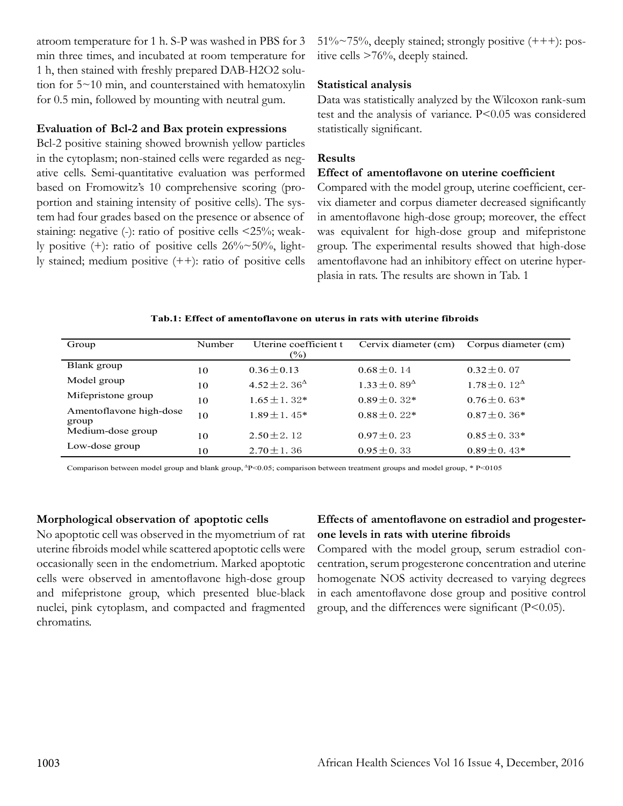atroom temperature for 1 h. S-P was washed in PBS for 3 min three times, and incubated at room temperature for 1 h, then stained with freshly prepared DAB-H2O2 solution for 5~10 min, and counterstained with hematoxylin for 0.5 min, followed by mounting with neutral gum.

### **Evaluation of Bcl-2 and Bax protein expressions**

Bcl-2 positive staining showed brownish yellow particles in the cytoplasm; non-stained cells were regarded as negative cells. Semi-quantitative evaluation was performed based on Fromowitz's 10 comprehensive scoring (proportion and staining intensity of positive cells). The system had four grades based on the presence or absence of staining: negative (-): ratio of positive cells <25%; weakly positive (+): ratio of positive cells 26%~50%, lightly stained; medium positive (++): ratio of positive cells  $51\%~75\%$ , deeply stained; strongly positive  $(++)$ : positive cells >76%, deeply stained.

### **Statistical analysis**

Data was statistically analyzed by the Wilcoxon rank-sum test and the analysis of variance. P<0.05 was considered statistically significant.

### **Results**

### **Effect of amentoflavone on uterine coefficient**

Compared with the model group, uterine coefficient, cervix diameter and corpus diameter decreased significantly in amentoflavone high-dose group; moreover, the effect was equivalent for high-dose group and mifepristone group. The experimental results showed that high-dose amentoflavone had an inhibitory effect on uterine hyperplasia in rats. The results are shown in Tab. 1

#### **Tab.1: Effect of amentoflavone on uterus in rats with uterine fibroids**

| Group                            | Number | Uterine coefficient t<br>(%)                  | Cervix diameter (cm)   | Corpus diameter (cm)     |
|----------------------------------|--------|-----------------------------------------------|------------------------|--------------------------|
| Blank group                      | 10     | $0.36 \pm 0.13$                               | $0.68 \pm 0.14$        | $0.32 \pm 0.07$          |
| Model group                      | 10     | 4.52 ± 2.36 <sup><math>\triangle</math></sup> | $1.33 + 0.89^{\Delta}$ | $1.78 \pm 0.12^{\Delta}$ |
| Mifepristone group               | 10     | $1.65 \pm 1.32$ *                             | $0.89 + 0.32*$         | $0.76 \pm 0.63*$         |
| Amentoflavone high-dose<br>group | 10     | $1.89 \pm 1.45^*$                             | $0.88 \pm 0.22*$       | $0.87 \pm 0.36*$         |
| Medium-dose group                | 10     | $2.50 + 2.12$                                 | $0.97 + 0.23$          | $0.85 \pm 0.33*$         |
| Low-dose group                   | 10     | $2.70 \pm 1.36$                               | $0.95 \pm 0.33$        | $0.89 \pm 0.43*$         |

Comparison between model group and blank group,  $\Delta P < 0.05$ ; comparison between treatment groups and model group, \* P<0105

### **Morphological observation of apoptotic cells**

No apoptotic cell was observed in the myometrium of rat uterine fibroids model while scattered apoptotic cells were occasionally seen in the endometrium. Marked apoptotic cells were observed in amentoflavone high-dose group and mifepristone group, which presented blue-black nuclei, pink cytoplasm, and compacted and fragmented chromatins.

### **Effects of amentoflavone on estradiol and progesterone levels in rats with uterine fibroids**

Compared with the model group, serum estradiol concentration, serum progesterone concentration and uterine homogenate NOS activity decreased to varying degrees in each amentoflavone dose group and positive control group, and the differences were significant (P<0.05).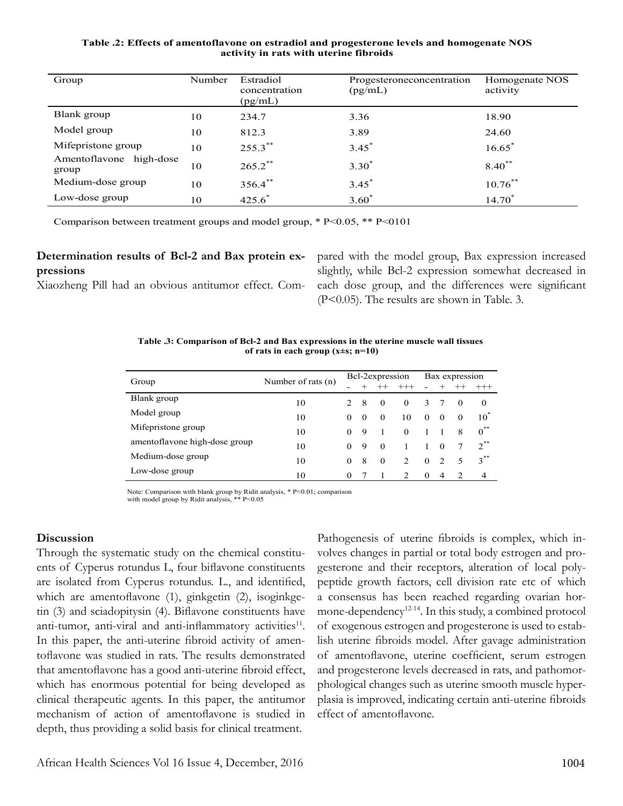#### **Table .2: Effects of amentoflavone on estradiol and progesterone levels and homogenate NOS activity in rats with uterine fibroids**

| Group                            | Number | Estradiol<br>concentration<br>(pg/mL) | Progesteroneconcentration<br>(pg/mL) | Homogenate NOS<br>activity |  |  |
|----------------------------------|--------|---------------------------------------|--------------------------------------|----------------------------|--|--|
| Blank group                      | 10     | 234.7                                 | 3.36                                 | 18.90                      |  |  |
| Model group                      | 10     | 812.3                                 | 3.89                                 | 24.60                      |  |  |
| Mifepristone group               | 10     | $255.3***$                            | $3.45^*$                             | $16.65^*$                  |  |  |
| Amentoflavone high-dose<br>group | 10     | $265.2$ **                            | $3.30*$                              | $8.40***$                  |  |  |
| Medium-dose group                | 10     | 356.4**                               | $3.45^*$                             | $10.76$ **                 |  |  |
| Low-dose group                   | 10     | $425.6^*$                             | $3.60*$                              | $14.70*$                   |  |  |

Comparison between treatment groups and model group, \* P<0.05, \*\* P<0101

## **Determination results of Bcl-2 and Bax protein expressions**

Xiaozheng Pill had an obvious antitumor effect. Com-

pared with the model group, Bax expression increased slightly, while Bcl-2 expression somewhat decreased in each dose group, and the differences were significant (P<0.05). The results are shown in Table. 3.

**Table .3: Comparison of Bcl-2 and Bax expressions in the uterine muscle wall tissues of rats in each group (x±s; n=10)**

|                               | Number of rats (n) | Bcl-2expression |          |          |               | Bax expression |                |               |                |
|-------------------------------|--------------------|-----------------|----------|----------|---------------|----------------|----------------|---------------|----------------|
| Group                         |                    |                 |          |          | $^{+++}$      |                |                |               | $^{+++}$       |
| Blank group                   | 10                 | $\mathcal{D}$   | -8       | $\Omega$ | $\Omega$      | 3              |                | $\theta$      | $\theta$       |
| Model group                   | 10                 | $\Omega$        | $\Omega$ | $\Omega$ | 10            | $\theta$       | $\Omega$       | $\Omega$      | $10^*$         |
| Mifepristone group            | 10                 | $\Omega$        | 9        |          | $\Omega$      |                |                | 8             | $0^{\ast\ast}$ |
| amentoflavone high-dose group | 10                 | 0               | 9        | $\Omega$ |               |                | $\Omega$       |               | $2^{**}$       |
| Medium-dose group             | 10                 | 0               | 8        | $\theta$ | 2             | $\Omega$       | $\mathcal{D}$  | 5             | $3^{**}$       |
| Low-dose group                | 10                 | $\Omega$        |          |          | $\mathcal{L}$ | $\theta$       | $\overline{4}$ | $\mathcal{D}$ | 4              |

Note: Comparison with blank group by Ridit analysis, \* P<0.01; comparison with model group by Ridit analysis, \*\* P<0.05

#### **Discussion**

Through the systematic study on the chemical constituents of Cyperus rotundus L, four biflavone constituents are isolated from Cyperus rotundus. L., and identified, which are amentoflavone (1), ginkgetin (2), isoginkgetin (3) and sciadopitysin (4). Biflavone constituents have anti-tumor, anti-viral and anti-inflammatory activities<sup>11</sup>. In this paper, the anti-uterine fibroid activity of amentoflavone was studied in rats. The results demonstrated that amentoflavone has a good anti-uterine fibroid effect, which has enormous potential for being developed as clinical therapeutic agents. In this paper, the antitumor mechanism of action of amentoflavone is studied in depth, thus providing a solid basis for clinical treatment.

Pathogenesis of uterine fibroids is complex, which involves changes in partial or total body estrogen and progesterone and their receptors, alteration of local polypeptide growth factors, cell division rate etc of which a consensus has been reached regarding ovarian hormone-dependency<sup>12-14</sup>. In this study, a combined protocol of exogenous estrogen and progesterone is used to establish uterine fibroids model. After gavage administration of amentoflavone, uterine coefficient, serum estrogen and progesterone levels decreased in rats, and pathomorphological changes such as uterine smooth muscle hyperplasia is improved, indicating certain anti-uterine fibroids effect of amentoflavone.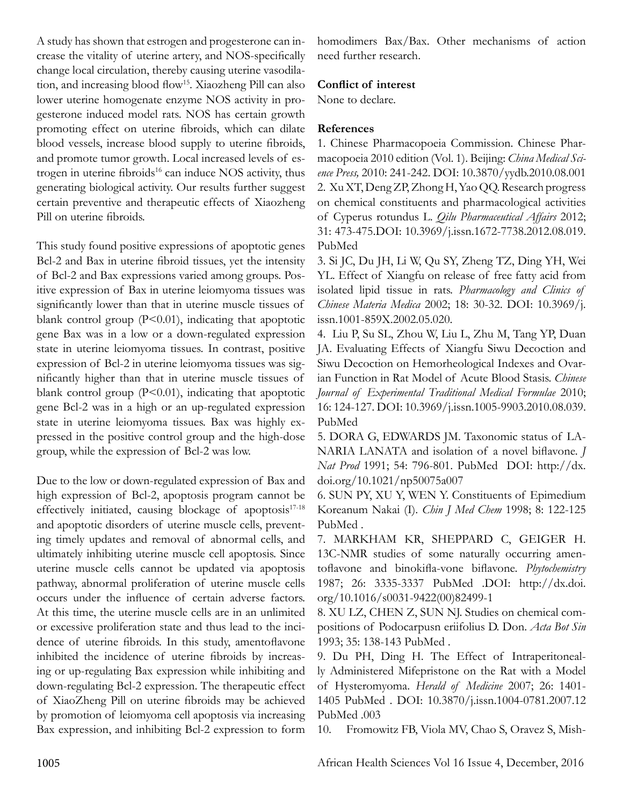A study has shown that estrogen and progesterone can increase the vitality of uterine artery, and NOS-specifically change local circulation, thereby causing uterine vasodilation, and increasing blood flow<sup>15</sup>. Xiaozheng Pill can also lower uterine homogenate enzyme NOS activity in progesterone induced model rats. NOS has certain growth promoting effect on uterine fibroids, which can dilate blood vessels, increase blood supply to uterine fibroids, and promote tumor growth. Local increased levels of estrogen in uterine fibroids<sup>16</sup> can induce NOS activity, thus generating biological activity. Our results further suggest certain preventive and therapeutic effects of Xiaozheng Pill on uterine fibroids.

This study found positive expressions of apoptotic genes Bcl-2 and Bax in uterine fibroid tissues, yet the intensity of Bcl-2 and Bax expressions varied among groups. Positive expression of Bax in uterine leiomyoma tissues was significantly lower than that in uterine muscle tissues of blank control group  $(P<0.01)$ , indicating that apoptotic gene Bax was in a low or a down-regulated expression state in uterine leiomyoma tissues. In contrast, positive expression of Bcl-2 in uterine leiomyoma tissues was significantly higher than that in uterine muscle tissues of blank control group  $(P<0.01)$ , indicating that apoptotic gene Bcl-2 was in a high or an up-regulated expression state in uterine leiomyoma tissues. Bax was highly expressed in the positive control group and the high-dose group, while the expression of Bcl-2 was low.

Due to the low or down-regulated expression of Bax and high expression of Bcl-2, apoptosis program cannot be effectively initiated, causing blockage of apoptosis $17-18$ and apoptotic disorders of uterine muscle cells, preventing timely updates and removal of abnormal cells, and ultimately inhibiting uterine muscle cell apoptosis. Since uterine muscle cells cannot be updated via apoptosis pathway, abnormal proliferation of uterine muscle cells occurs under the influence of certain adverse factors. At this time, the uterine muscle cells are in an unlimited or excessive proliferation state and thus lead to the incidence of uterine fibroids. In this study, amentoflavone inhibited the incidence of uterine fibroids by increasing or up-regulating Bax expression while inhibiting and down-regulating Bcl-2 expression. The therapeutic effect of XiaoZheng Pill on uterine fibroids may be achieved by promotion of leiomyoma cell apoptosis via increasing Bax expression, and inhibiting Bcl-2 expression to form homodimers Bax/Bax. Other mechanisms of action need further research.

### **Conflict of interest**

None to declare.

### **References**

1. Chinese Pharmacopoeia Commission. Chinese Pharmacopoeia 2010 edition (Vol. 1). Beijing: *China Medical Science Press,* 2010: 241-242. DOI: 10.3870/yydb.2010.08.001 2. Xu XT, Deng ZP, Zhong H, Yao QQ. Research progress on chemical constituents and pharmacological activities of Cyperus rotundus L. *Qilu Pharmaceutical Affairs* 2012; 31: 473-475.DOI: 10.3969/j.issn.1672-7738.2012.08.019. PubMed

3. Si JC, Du JH, Li W, Qu SY, Zheng TZ, Ding YH, Wei YL. Effect of Xiangfu on release of free fatty acid from isolated lipid tissue in rats. *Pharmacology and Clinics of Chinese Materia Medica* 2002; 18: 30-32. DOI: 10.3969/j. issn.1001-859X.2002.05.020.

4. Liu P, Su SL, Zhou W, Liu L, Zhu M, Tang YP, Duan JA. Evaluating Effects of Xiangfu Siwu Decoction and Siwu Decoction on Hemorheological Indexes and Ovarian Function in Rat Model of Acute Blood Stasis. *Chinese Journal of Experimental Traditional Medical Formulae* 2010; 16: 124-127. DOI: 10.3969/j.issn.1005-9903.2010.08.039. PubMed

5. DORA G, EDWARDS JM. Taxonomic status of LA-NARIA LANATA and isolation of a novel biflavone. *J Nat Prod* 1991; 54: 796-801. PubMed DOI: http://dx. doi.org/10.1021/np50075a007

6. SUN PY, XU Y, WEN Y. Constituents of Epimedium Koreanum Nakai (I). *Chin J Med Chem* 1998; 8: 122-125 PubMed .

7. MARKHAM KR, SHEPPARD C, GEIGER H. 13C-NMR studies of some naturally occurring amentoflavone and binokifla-vone biflavone. *Phytochemistry* 1987; 26: 3335-3337 PubMed .DOI: http://dx.doi. org/10.1016/s0031-9422(00)82499-1

8. XU LZ, CHEN Z, SUN NJ. Studies on chemical compositions of Podocarpusn eriifolius D. Don. *Acta Bot Sin*  1993; 35: 138-143 PubMed .

9. Du PH, Ding H. The Effect of Intraperitoneally Administered Mifepristone on the Rat with a Model of Hysteromyoma. *Herald of Medicine* 2007; 26: 1401- 1405 PubMed . DOI: 10.3870/j.issn.1004-0781.2007.12 PubMed .003

10. Fromowitz FB, Viola MV, Chao S, Oravez S, Mish-